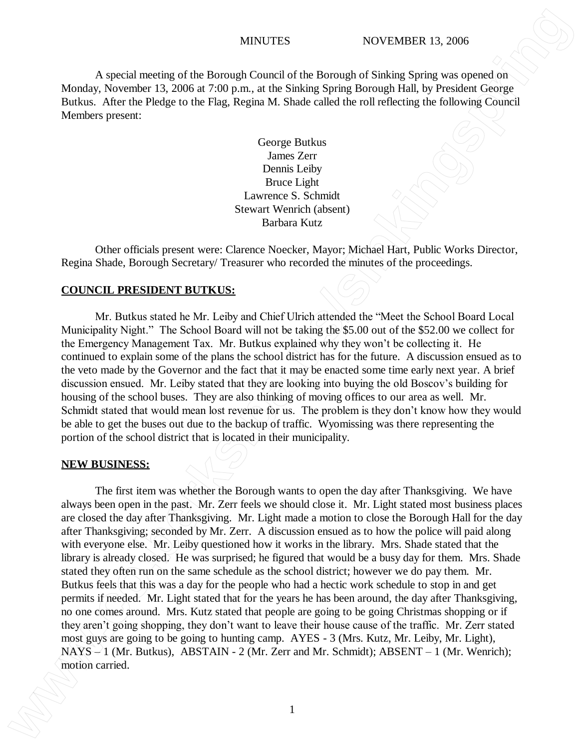## MINUTES NOVEMBER 13, 2006

A special meeting of the Borough Council of the Borough of Sinking Spring was opened on Monday, November 13, 2006 at 7:00 p.m., at the Sinking Spring Borough Hall, by President George Butkus. After the Pledge to the Flag, Regina M. Shade called the roll reflecting the following Council Members present:

> George Butkus James Zerr Dennis Leiby Bruce Light Lawrence S. Schmidt Stewart Wenrich (absent) Barbara Kutz

Other officials present were: Clarence Noecker, Mayor; Michael Hart, Public Works Director, Regina Shade, Borough Secretary/ Treasurer who recorded the minutes of the proceedings.

## **COUNCIL PRESIDENT BUTKUS:**

Mr. Butkus stated he Mr. Leiby and Chief Ulrich attended the "Meet the School Board Local Municipality Night." The School Board will not be taking the \$5.00 out of the \$52.00 we collect for the Emergency Management Tax. Mr. Butkus explained why they won't be collecting it. He continued to explain some of the plans the school district has for the future. A discussion ensued as to the veto made by the Governor and the fact that it may be enacted some time early next year. A brief discussion ensued. Mr. Leiby stated that they are looking into buying the old Boscov's building for housing of the school buses. They are also thinking of moving offices to our area as well. Mr. Schmidt stated that would mean lost revenue for us. The problem is they don't know how they would be able to get the buses out due to the backup of traffic. Wyomissing was there representing the portion of the school district that is located in their municipality.

### **NEW BUSINESS:**

The first item was whether the Borough wants to open the day after Thanksgiving. We have always been open in the past. Mr. Zerr feels we should close it. Mr. Light stated most business places are closed the day after Thanksgiving. Mr. Light made a motion to close the Borough Hall for the day after Thanksgiving; seconded by Mr. Zerr. A discussion ensued as to how the police will paid along with everyone else. Mr. Leiby questioned how it works in the library. Mrs. Shade stated that the library is already closed. He was surprised; he figured that would be a busy day for them. Mrs. Shade stated they often run on the same schedule as the school district; however we do pay them. Mr. Butkus feels that this was a day for the people who had a hectic work schedule to stop in and get permits if needed. Mr. Light stated that for the years he has been around, the day after Thanksgiving, no one comes around. Mrs. Kutz stated that people are going to be going Christmas shopping or if they aren't going shopping, they don't want to leave their house cause of the traffic. Mr. Zerr stated most guys are going to be going to hunting camp. AYES - 3 (Mrs. Kutz, Mr. Leiby, Mr. Light),  $NAYS - 1$  (Mr. Butkus), ABSTAIN - 2 (Mr. Zerr and Mr. Schmidt); ABSENT – 1 (Mr. Wenrich); **MINUTES** WINDITES WOVEMBER 13.006<br>
Monday, Somethof the Roman Control of the Roman Poly Control of the Roman Poly Sinking Series was connected in<br>
Berks. Adice to Plays the Sinking Series of Sinking Series (Economic Berk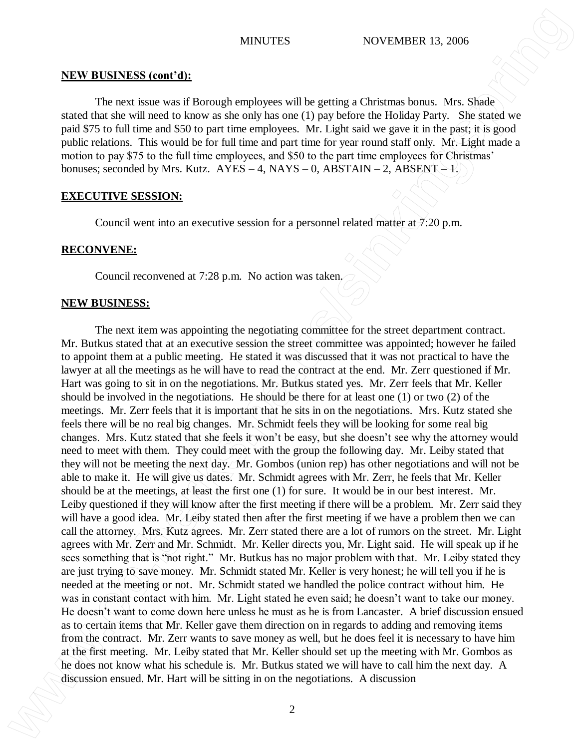### **NEW BUSINESS (cont'd):**

The next issue was if Borough employees will be getting a Christmas bonus. Mrs. Shade stated that she will need to know as she only has one (1) pay before the Holiday Party. She stated we paid \$75 to full time and \$50 to part time employees. Mr. Light said we gave it in the past; it is good public relations. This would be for full time and part time for year round staff only. Mr. Light made a motion to pay \$75 to the full time employees, and \$50 to the part time employees for Christmas' bonuses; seconded by Mrs. Kutz.  $AYES - 4$ , NAYS – 0, ABSTAIN – 2, ABSENT – 1.

### **EXECUTIVE SESSION:**

Council went into an executive session for a personnel related matter at 7:20 p.m.

# **RECONVENE:**

Council reconvened at 7:28 p.m. No action was taken.

## **NEW BUSINESS:**

The next item was appointing the negotiating committee for the street department contract. Mr. Butkus stated that at an executive session the street committee was appointed; however he failed to appoint them at a public meeting. He stated it was discussed that it was not practical to have the lawyer at all the meetings as he will have to read the contract at the end. Mr. Zerr questioned if Mr. Hart was going to sit in on the negotiations. Mr. Butkus stated yes. Mr. Zerr feels that Mr. Keller should be involved in the negotiations. He should be there for at least one (1) or two (2) of the meetings. Mr. Zerr feels that it is important that he sits in on the negotiations. Mrs. Kutz stated she feels there will be no real big changes. Mr. Schmidt feels they will be looking for some real big changes. Mrs. Kutz stated that she feels it won't be easy, but she doesn't see why the attorney would need to meet with them. They could meet with the group the following day. Mr. Leiby stated that they will not be meeting the next day. Mr. Gombos (union rep) has other negotiations and will not be able to make it. He will give us dates. Mr. Schmidt agrees with Mr. Zerr, he feels that Mr. Keller should be at the meetings, at least the first one (1) for sure. It would be in our best interest. Mr. Leiby questioned if they will know after the first meeting if there will be a problem. Mr. Zerr said they will have a good idea. Mr. Leiby stated then after the first meeting if we have a problem then we can call the attorney. Mrs. Kutz agrees. Mr. Zerr stated there are a lot of rumors on the street. Mr. Light agrees with Mr. Zerr and Mr. Schmidt. Mr. Keller directs you, Mr. Light said. He will speak up if he sees something that is "not right." Mr. Butkus has no major problem with that. Mr. Leiby stated they are just trying to save money. Mr. Schmidt stated Mr. Keller is very honest; he will tell you if he is needed at the meeting or not. Mr. Schmidt stated we handled the police contract without him. He was in constant contact with him. Mr. Light stated he even said; he doesn't want to take our money. He doesn't want to come down here unless he must as he is from Lancaster. A brief discussion ensued as to certain items that Mr. Keller gave them direction on in regards to adding and removing items from the contract. Mr. Zerr wants to save money as well, but he does feel it is necessary to have him at the first meeting. Mr. Leiby stated that Mr. Keller should set up the meeting with Mr. Gombos as he does not know what his schedule is. Mr. Butkus stated we will have to call him the next day. A MRV BUSINESS in control of the new operator will be sitting in the new of the new of the new of the new of the new of the new of the new of the new of the new of the new of the new of the new of the new of the new of the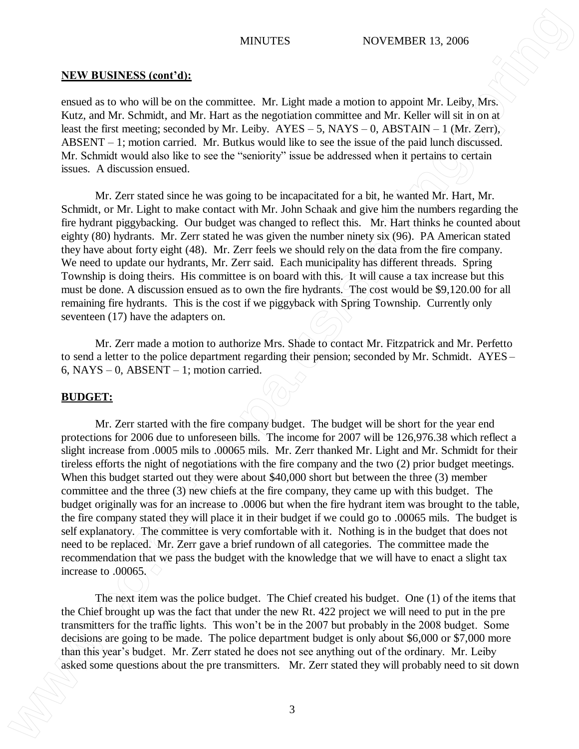### **NEW BUSINESS (cont'd):**

ensued as to who will be on the committee. Mr. Light made a motion to appoint Mr. Leiby, Mrs. Kutz, and Mr. Schmidt, and Mr. Hart as the negotiation committee and Mr. Keller will sit in on at least the first meeting; seconded by Mr. Leiby.  $AYES - 5$ ,  $NAYS - 0$ ,  $ABSTAIN - 1$  (Mr. Zerr), ABSENT – 1; motion carried. Mr. Butkus would like to see the issue of the paid lunch discussed. Mr. Schmidt would also like to see the "seniority" issue be addressed when it pertains to certain issues. A discussion ensued.

Mr. Zerr stated since he was going to be incapacitated for a bit, he wanted Mr. Hart, Mr. Schmidt, or Mr. Light to make contact with Mr. John Schaak and give him the numbers regarding the fire hydrant piggybacking. Our budget was changed to reflect this. Mr. Hart thinks he counted about eighty (80) hydrants. Mr. Zerr stated he was given the number ninety six (96). PA American stated they have about forty eight (48). Mr. Zerr feels we should rely on the data from the fire company. We need to update our hydrants, Mr. Zerr said. Each municipality has different threads. Spring Township is doing theirs. His committee is on board with this. It will cause a tax increase but this must be done. A discussion ensued as to own the fire hydrants. The cost would be \$9,120.00 for all remaining fire hydrants. This is the cost if we piggyback with Spring Township. Currently only seventeen  $(17)$  have the adapters on.

Mr. Zerr made a motion to authorize Mrs. Shade to contact Mr. Fitzpatrick and Mr. Perfetto to send a letter to the police department regarding their pension; seconded by Mr. Schmidt. AYES – 6, NAYS – 0, ABSENT – 1; motion carried.

# **BUDGET:**

Mr. Zerr started with the fire company budget. The budget will be short for the year end protections for 2006 due to unforeseen bills. The income for 2007 will be 126,976.38 which reflect a slight increase from .0005 mils to .00065 mils. Mr. Zerr thanked Mr. Light and Mr. Schmidt for their tireless efforts the night of negotiations with the fire company and the two (2) prior budget meetings. When this budget started out they were about \$40,000 short but between the three (3) member committee and the three (3) new chiefs at the fire company, they came up with this budget. The budget originally was for an increase to .0006 but when the fire hydrant item was brought to the table, the fire company stated they will place it in their budget if we could go to .00065 mils. The budget is self explanatory. The committee is very comfortable with it. Nothing is in the budget that does not need to be replaced. Mr. Zerr gave a brief rundown of all categories. The committee made the recommendation that we pass the budget with the knowledge that we will have to enact a slight tax increase to .00065. **EXERENT SYSTEM ASKET (ASSEMENT ASSEMENT ASSEMENT ASSEMENT ASSEMENT ASSEMENT ASSEMENT ASSEMENT ASSEMENT ASSEMENT ASSEMENT ASSEMENT ASSEMENT ASSEMENT ASSEMENT ASSEMENT ASSEMENT ASSEMENT ASSEMENT ASSEMENT ASSEMENT ASSEMENT** 

The next item was the police budget. The Chief created his budget. One (1) of the items that the Chief brought up was the fact that under the new Rt. 422 project we will need to put in the pre transmitters for the traffic lights. This won't be in the 2007 but probably in the 2008 budget. Some decisions are going to be made. The police department budget is only about \$6,000 or \$7,000 more than this year's budget. Mr. Zerr stated he does not see anything out of the ordinary. Mr. Leiby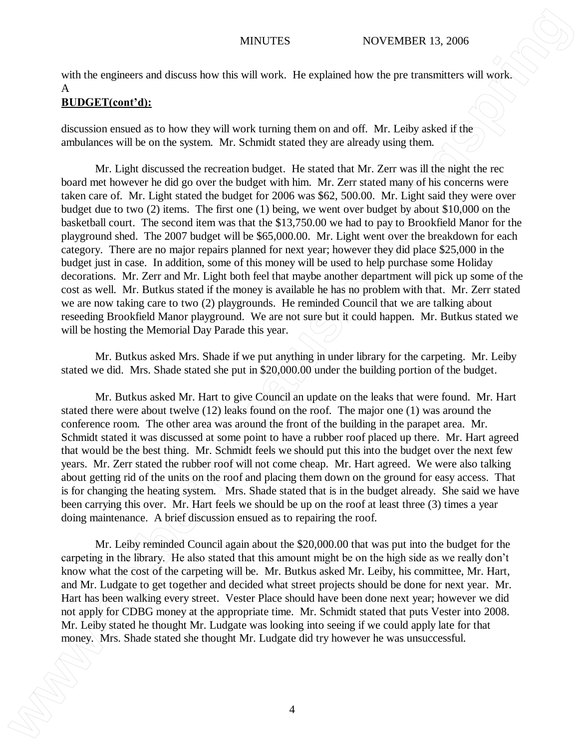with the engineers and discuss how this will work. He explained how the pre transmitters will work. A

# **BUDGET(cont'd):**

discussion ensued as to how they will work turning them on and off. Mr. Leiby asked if the ambulances will be on the system. Mr. Schmidt stated they are already using them.

Mr. Light discussed the recreation budget. He stated that Mr. Zerr was ill the night the rec board met however he did go over the budget with him. Mr. Zerr stated many of his concerns were taken care of. Mr. Light stated the budget for 2006 was \$62, 500.00. Mr. Light said they were over budget due to two (2) items. The first one (1) being, we went over budget by about \$10,000 on the basketball court. The second item was that the \$13,750.00 we had to pay to Brookfield Manor for the playground shed. The 2007 budget will be \$65,000.00. Mr. Light went over the breakdown for each category. There are no major repairs planned for next year; however they did place \$25,000 in the budget just in case. In addition, some of this money will be used to help purchase some Holiday decorations. Mr. Zerr and Mr. Light both feel that maybe another department will pick up some of the cost as well. Mr. Butkus stated if the money is available he has no problem with that. Mr. Zerr stated we are now taking care to two (2) playgrounds. He reminded Council that we are talking about reseeding Brookfield Manor playground. We are not sure but it could happen. Mr. Butkus stated we will be hosting the Memorial Day Parade this year. MYGUTES MOVEMBER 19. 000<br>
A the employees and discuss benefit with user the exploration when the particular state of the employees with the employees with Mr. Ludgate discussions and the employees are also that the employ

Mr. Butkus asked Mrs. Shade if we put anything in under library for the carpeting. Mr. Leiby stated we did. Mrs. Shade stated she put in \$20,000.00 under the building portion of the budget.

Mr. Butkus asked Mr. Hart to give Council an update on the leaks that were found. Mr. Hart stated there were about twelve (12) leaks found on the roof. The major one (1) was around the conference room. The other area was around the front of the building in the parapet area. Mr. Schmidt stated it was discussed at some point to have a rubber roof placed up there. Mr. Hart agreed that would be the best thing. Mr. Schmidt feels we should put this into the budget over the next few years. Mr. Zerr stated the rubber roof will not come cheap. Mr. Hart agreed. We were also talking about getting rid of the units on the roof and placing them down on the ground for easy access. That is for changing the heating system. Mrs. Shade stated that is in the budget already. She said we have been carrying this over. Mr. Hart feels we should be up on the roof at least three (3) times a year doing maintenance. A brief discussion ensued as to repairing the roof.

Mr. Leiby reminded Council again about the \$20,000.00 that was put into the budget for the carpeting in the library. He also stated that this amount might be on the high side as we really don't know what the cost of the carpeting will be. Mr. Butkus asked Mr. Leiby, his committee, Mr. Hart, and Mr. Ludgate to get together and decided what street projects should be done for next year. Mr. Hart has been walking every street. Vester Place should have been done next year; however we did not apply for CDBG money at the appropriate time. Mr. Schmidt stated that puts Vester into 2008. Mr. Leiby stated he thought Mr. Ludgate was looking into seeing if we could apply late for that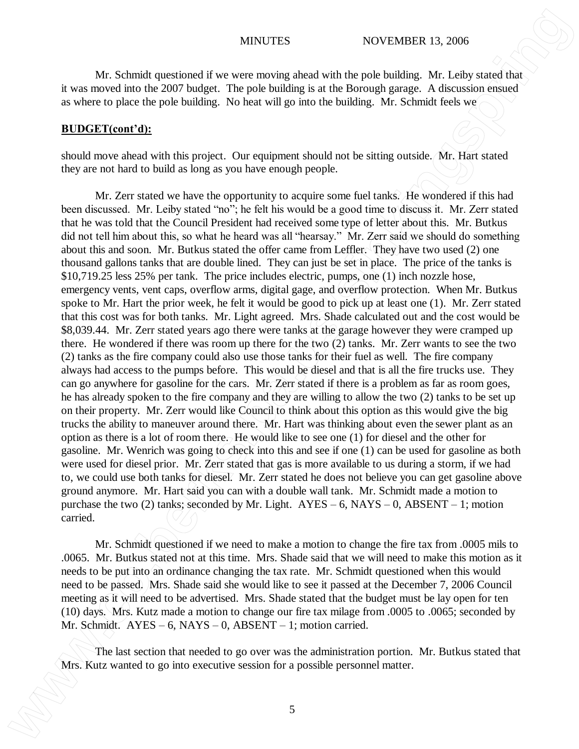Mr. Schmidt questioned if we were moving ahead with the pole building. Mr. Leiby stated that it was moved into the 2007 budget. The pole building is at the Borough garage. A discussion ensued as where to place the pole building. No heat will go into the building. Mr. Schmidt feels we

### **BUDGET(cont'd):**

should move ahead with this project. Our equipment should not be sitting outside. Mr. Hart stated they are not hard to build as long as you have enough people.

Mr. Zerr stated we have the opportunity to acquire some fuel tanks. He wondered if this had been discussed. Mr. Leiby stated "no"; he felt his would be a good time to discuss it. Mr. Zerr stated that he was told that the Council President had received some type of letter about this. Mr. Butkus did not tell him about this, so what he heard was all "hearsay." Mr. Zerr said we should do something about this and soon. Mr. Butkus stated the offer came from Leffler. They have two used (2) one thousand gallons tanks that are double lined. They can just be set in place. The price of the tanks is \$10,719.25 less 25% per tank. The price includes electric, pumps, one (1) inch nozzle hose, emergency vents, vent caps, overflow arms, digital gage, and overflow protection. When Mr. Butkus spoke to Mr. Hart the prior week, he felt it would be good to pick up at least one (1). Mr. Zerr stated that this cost was for both tanks. Mr. Light agreed. Mrs. Shade calculated out and the cost would be \$8,039.44. Mr. Zerr stated years ago there were tanks at the garage however they were cramped up there. He wondered if there was room up there for the two (2) tanks. Mr. Zerr wants to see the two (2) tanks as the fire company could also use those tanks for their fuel as well. The fire company always had access to the pumps before. This would be diesel and that is all the fire trucks use. They can go anywhere for gasoline for the cars. Mr. Zerr stated if there is a problem as far as room goes, he has already spoken to the fire company and they are willing to allow the two (2) tanks to be set up on their property. Mr. Zerr would like Council to think about this option as this would give the big trucks the ability to maneuver around there. Mr. Hart was thinking about even the sewer plant as an option as there is a lot of room there. He would like to see one (1) for diesel and the other for gasoline. Mr. Wenrich was going to check into this and see if one (1) can be used for gasoline as both were used for diesel prior. Mr. Zerr stated that gas is more available to us during a storm, if we had to, we could use both tanks for diesel. Mr. Zerr stated he does not believe you can get gasoline above ground anymore. Mr. Hart said you can with a double wall tank. Mr. Schmidt made a motion to purchase the two (2) tanks; seconded by Mr. Light.  $AYES - 6$ ,  $NAYS - 0$ ,  $ABSENT - 1$ ; motion carried. MYGUTES WOVEMBER 13.000<br>We show the mediant of such are meaning about sets the personnel matter. We have the session for a possible personnel matter. The pair is the personnel matter in the personnel matter. We have the s

Mr. Schmidt questioned if we need to make a motion to change the fire tax from .0005 mils to .0065. Mr. Butkus stated not at this time. Mrs. Shade said that we will need to make this motion as it needs to be put into an ordinance changing the tax rate. Mr. Schmidt questioned when this would need to be passed. Mrs. Shade said she would like to see it passed at the December 7, 2006 Council meeting as it will need to be advertised. Mrs. Shade stated that the budget must be lay open for ten (10) days. Mrs. Kutz made a motion to change our fire tax milage from .0005 to .0065; seconded by Mr. Schmidt. AYES – 6, NAYS – 0, ABSENT – 1; motion carried.

The last section that needed to go over was the administration portion. Mr. Butkus stated that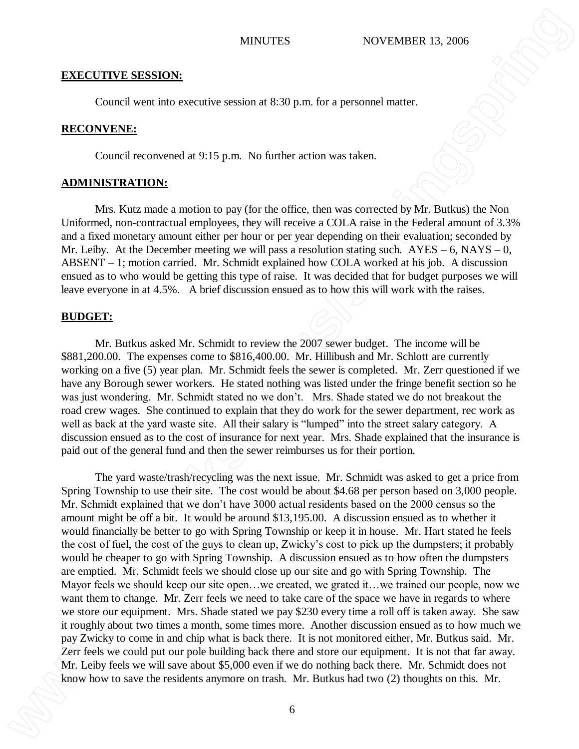### **EXECUTIVE SESSION:**

Council went into executive session at 8:30 p.m. for a personnel matter.

### **RECONVENE:**

Council reconvened at 9:15 p.m. No further action was taken.

## **ADMINISTRATION:**

Mrs. Kutz made a motion to pay (for the office, then was corrected by Mr. Butkus) the Non Uniformed, non-contractual employees, they will receive a COLA raise in the Federal amount of 3.3% and a fixed monetary amount either per hour or per year depending on their evaluation; seconded by Mr. Leiby. At the December meeting we will pass a resolution stating such.  $AYES - 6$ ,  $NAYS - 0$ , ABSENT – 1; motion carried. Mr. Schmidt explained how COLA worked at his job. A discussion ensued as to who would be getting this type of raise. It was decided that for budget purposes we will leave everyone in at 4.5%. A brief discussion ensued as to how this will work with the raises.

# **BUDGET:**

Mr. Butkus asked Mr. Schmidt to review the 2007 sewer budget. The income will be \$881,200.00. The expenses come to \$816,400.00. Mr. Hillibush and Mr. Schlott are currently working on a five (5) year plan. Mr. Schmidt feels the sewer is completed. Mr. Zerr questioned if we have any Borough sewer workers. He stated nothing was listed under the fringe benefit section so he was just wondering. Mr. Schmidt stated no we don't. Mrs. Shade stated we do not breakout the road crew wages. She continued to explain that they do work for the sewer department, rec work as well as back at the yard waste site. All their salary is "lumped" into the street salary category. A discussion ensued as to the cost of insurance for next year. Mrs. Shade explained that the insurance is paid out of the general fund and then the sewer reimburses us for their portion.

The yard waste/trash/recycling was the next issue. Mr. Schmidt was asked to get a price from Spring Township to use their site. The cost would be about \$4.68 per person based on 3,000 people. Mr. Schmidt explained that we don't have 3000 actual residents based on the 2000 census so the amount might be off a bit. It would be around \$13,195.00. A discussion ensued as to whether it would financially be better to go with Spring Township or keep it in house. Mr. Hart stated he feels the cost of fuel, the cost of the guys to clean up, Zwicky's cost to pick up the dumpsters; it probably would be cheaper to go with Spring Township. A discussion ensued as to how often the dumpsters are emptied. Mr. Schmidt feels we should close up our site and go with Spring Township. The Mayor feels we should keep our site open...we created, we grated it...we trained our people, now we want them to change. Mr. Zerr feels we need to take care of the space we have in regards to where we store our equipment. Mrs. Shade stated we pay \$230 every time a roll off is taken away. She saw it roughly about two times a month, some times more. Another discussion ensued as to how much we pay Zwicky to come in and chip what is back there. It is not monitored either, Mr. Butkus said. Mr. Zerr feels we could put our pole building back there and store our equipment. It is not that far away. Mr. Leiby feels we will save about \$5,000 even if we do nothing back there. Mr. Schmidt does not **KNOCTIVE SESSION:**<br>
SCOND CONDATION CONDATION CONDATION CONDATION CONDITION CONDITION CONDITION CONDITION CONDITION CONDITION CONDITION CONDITION CONDITION CONDITION CONDITION CONDITION CONDITION CONDITION CONDITION COND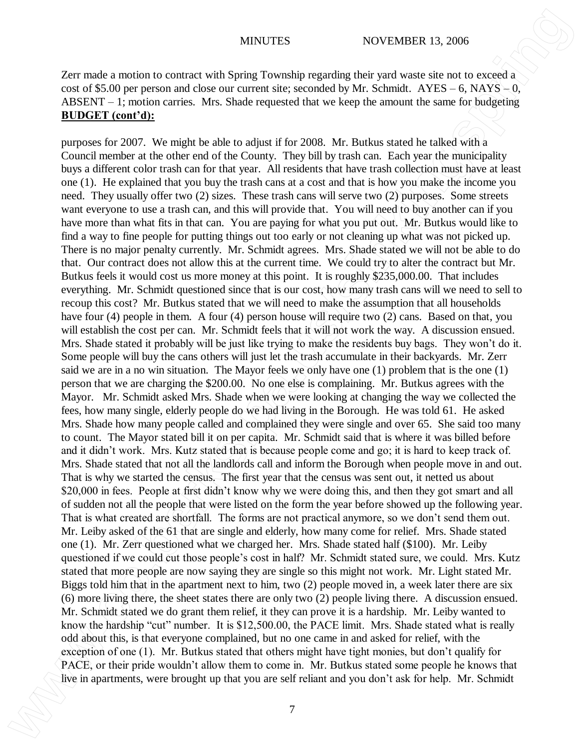Zerr made a motion to contract with Spring Township regarding their yard waste site not to exceed a cost of \$5.00 per person and close our current site; seconded by Mr. Schmidt.  $AYES - 6$ ,  $NAYS - 0$ , ABSENT – 1; motion carries. Mrs. Shade requested that we keep the amount the same for budgeting **BUDGET (cont'd):**

purposes for 2007. We might be able to adjust if for 2008. Mr. Butkus stated he talked with a Council member at the other end of the County. They bill by trash can. Each year the municipality buys a different color trash can for that year. All residents that have trash collection must have at least one (1). He explained that you buy the trash cans at a cost and that is how you make the income you need. They usually offer two (2) sizes. These trash cans will serve two (2) purposes. Some streets want everyone to use a trash can, and this will provide that. You will need to buy another can if you have more than what fits in that can. You are paying for what you put out. Mr. Butkus would like to find a way to fine people for putting things out too early or not cleaning up what was not picked up. There is no major penalty currently. Mr. Schmidt agrees. Mrs. Shade stated we will not be able to do that. Our contract does not allow this at the current time. We could try to alter the contract but Mr. Butkus feels it would cost us more money at this point. It is roughly \$235,000.00. That includes everything. Mr. Schmidt questioned since that is our cost, how many trash cans will we need to sell to recoup this cost? Mr. Butkus stated that we will need to make the assumption that all households have four (4) people in them. A four (4) person house will require two (2) cans. Based on that, you will establish the cost per can. Mr. Schmidt feels that it will not work the way. A discussion ensued. Mrs. Shade stated it probably will be just like trying to make the residents buy bags. They won't do it. Some people will buy the cans others will just let the trash accumulate in their backyards. Mr. Zerr said we are in a no win situation. The Mayor feels we only have one (1) problem that is the one (1) person that we are charging the \$200.00. No one else is complaining. Mr. Butkus agrees with the Mayor. Mr. Schmidt asked Mrs. Shade when we were looking at changing the way we collected the fees, how many single, elderly people do we had living in the Borough. He was told 61. He asked Mrs. Shade how many people called and complained they were single and over 65. She said too many to count. The Mayor stated bill it on per capita. Mr. Schmidt said that is where it was billed before and it didn't work. Mrs. Kutz stated that is because people come and go; it is hard to keep track of. Mrs. Shade stated that not all the landlords call and inform the Borough when people move in and out. That is why we started the census. The first year that the census was sent out, it netted us about \$20,000 in fees. People at first didn't know why we were doing this, and then they got smart and all of sudden not all the people that were listed on the form the year before showed up the following year. That is what created are shortfall. The forms are not practical anymore, so we don't send them out. Mr. Leiby asked of the 61 that are single and elderly, how many come for relief. Mrs. Shade stated one (1). Mr. Zerr questioned what we charged her. Mrs. Shade stated half (\$100). Mr. Leiby questioned if we could cut those people's cost in half? Mr. Schmidt stated sure, we could. Mrs. Kutz stated that more people are now saying they are single so this might not work. Mr. Light stated Mr. Biggs told him that in the apartment next to him, two (2) people moved in, a week later there are six (6) more living there, the sheet states there are only two (2) people living there. A discussion ensued. Mr. Schmidt stated we do grant them relief, it they can prove it is a hardship. Mr. Leiby wanted to know the hardship "cut" number. It is \$12,500.00, the PACE limit. Mrs. Shade stated what is really odd about this, is that everyone complained, but no one came in and asked for relief, with the exception of one (1). Mr. Butkus stated that others might have tight monies, but don't qualify for PACE, or their pride wouldn't allow them to come in. Mr. Butkus stated some people he knows that **Part made a motion to contract with Schmidt regarding their you are self reliant to a self of reliant and you but controlled by the self reliant ATM and the self reliant and you are self reliant ATM and ATM and ATM and A**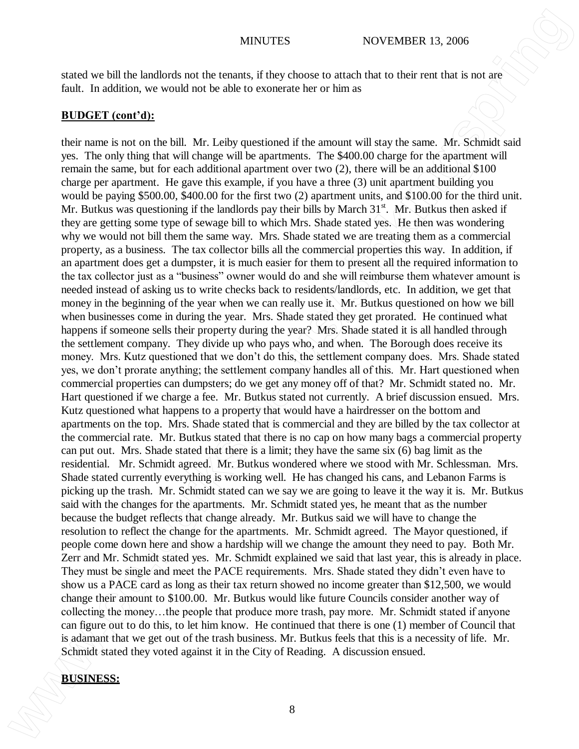stated we bill the landlords not the tenants, if they choose to attach that to their rent that is not are fault. In addition, we would not be able to exonerate her or him as

# **BUDGET (cont'd):**

their name is not on the bill. Mr. Leiby questioned if the amount will stay the same. Mr. Schmidt said yes. The only thing that will change will be apartments. The \$400.00 charge for the apartment will remain the same, but for each additional apartment over two (2), there will be an additional \$100 charge per apartment. He gave this example, if you have a three (3) unit apartment building you would be paying \$500.00, \$400.00 for the first two (2) apartment units, and \$100.00 for the third unit. Mr. Butkus was questioning if the landlords pay their bills by March  $31<sup>st</sup>$ . Mr. Butkus then asked if they are getting some type of sewage bill to which Mrs. Shade stated yes. He then was wondering why we would not bill them the same way. Mrs. Shade stated we are treating them as a commercial property, as a business. The tax collector bills all the commercial properties this way. In addition, if an apartment does get a dumpster, it is much easier for them to present all the required information to the tax collector just as a "business" owner would do and she will reimburse them whatever amount is needed instead of asking us to write checks back to residents/landlords, etc. In addition, we get that money in the beginning of the year when we can really use it. Mr. Butkus questioned on how we bill when businesses come in during the year. Mrs. Shade stated they get prorated. He continued what happens if someone sells their property during the year? Mrs. Shade stated it is all handled through the settlement company. They divide up who pays who, and when. The Borough does receive its money. Mrs. Kutz questioned that we don't do this, the settlement company does. Mrs. Shade stated yes, we don't prorate anything; the settlement company handles all of this. Mr. Hart questioned when commercial properties can dumpsters; do we get any money off of that? Mr. Schmidt stated no. Mr. Hart questioned if we charge a fee. Mr. Butkus stated not currently. A brief discussion ensued. Mrs. Kutz questioned what happens to a property that would have a hairdresser on the bottom and apartments on the top. Mrs. Shade stated that is commercial and they are billed by the tax collector at the commercial rate. Mr. Butkus stated that there is no cap on how many bags a commercial property can put out. Mrs. Shade stated that there is a limit; they have the same six (6) bag limit as the residential. Mr. Schmidt agreed. Mr. Butkus wondered where we stood with Mr. Schlessman. Mrs. Shade stated currently everything is working well. He has changed his cans, and Lebanon Farms is picking up the trash. Mr. Schmidt stated can we say we are going to leave it the way it is. Mr. Butkus said with the changes for the apartments. Mr. Schmidt stated yes, he meant that as the number because the budget reflects that change already. Mr. Butkus said we will have to change the resolution to reflect the change for the apartments. Mr. Schmidt agreed. The Mayor questioned, if people come down here and show a hardship will we change the amount they need to pay. Both Mr. Zerr and Mr. Schmidt stated yes. Mr. Schmidt explained we said that last year, this is already in place. They must be single and meet the PACE requirements. Mrs. Shade stated they didn't even have to show us a PACE card as long as their tax return showed no income greater than \$12,500, we would change their amount to \$100.00. Mr. Butkus would like future Councils consider another way of collecting the money…the people that produce more trash, pay more. Mr. Schmidt stated if anyone can figure out to do this, to let him know. He continued that there is one (1) member of Council that is adamant that we get out of the trash business. Mr. Butkus feels that this is a necessity of life. Mr. Schmidt stated they voted against it in the City of Reading. A discussion ensued. **BUSINESS: WENTERS WENTERS WENTERS BUSINESS: WENTERS BUSINESS: BUSINESS: BUSINESS: BUSINESS: BUSINESS: BUSINESS: BUSINESS: BUSINESS: BUSINESS: BUSINESS: BUSINESS: BUSINESS: BUSINESS: B**